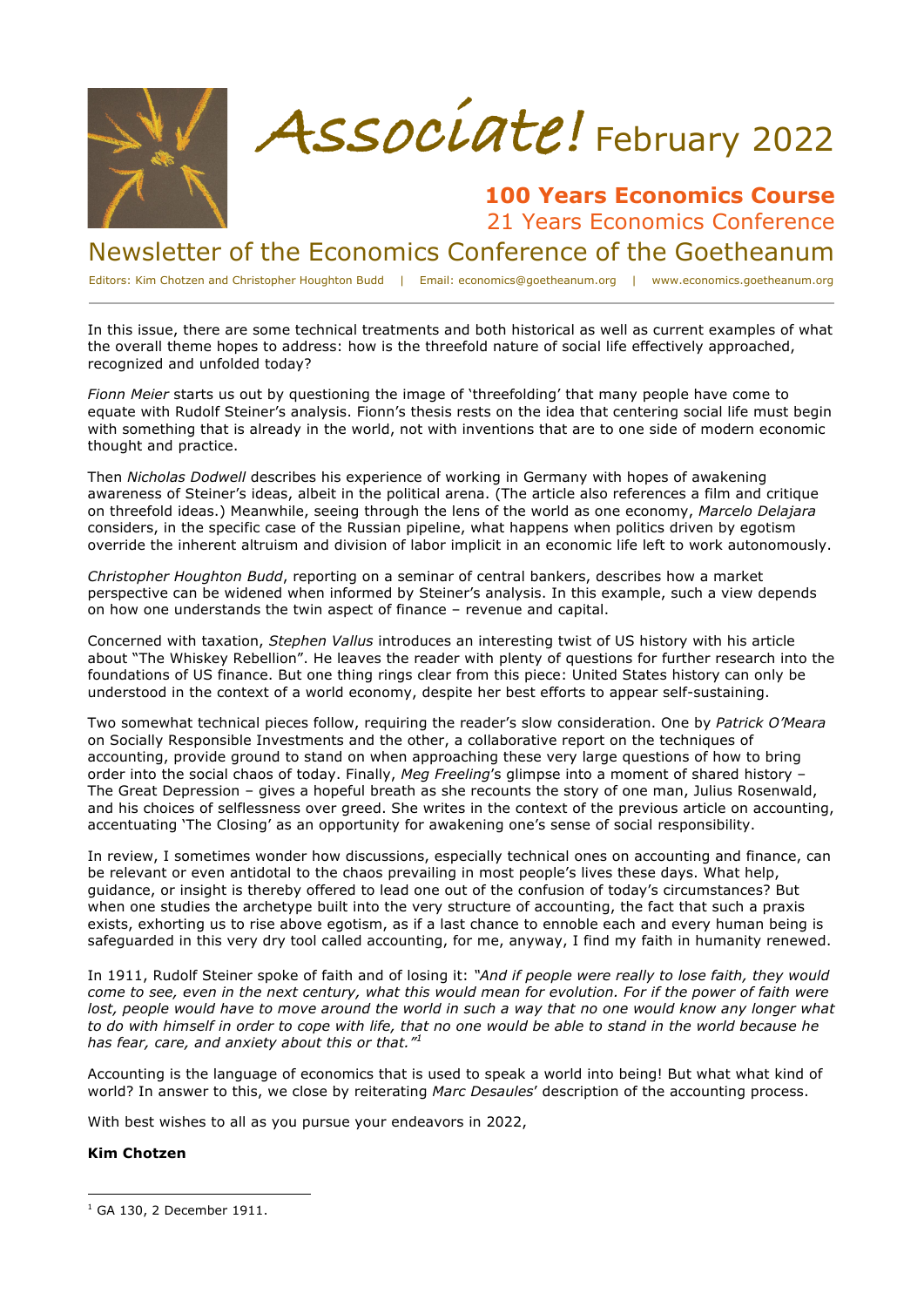



## **100 Years Economics Course** 21 Years Economics Conference

Newsletter of the Economics Conference of the Goetheanum

Editors: Kim Chotzen and Christopher Houghton Budd | Email: economics@goetheanum.org | www.economics.goetheanum.org

In this issue, there are some technical treatments and both historical as well as current examples of what the overall theme hopes to address: how is the threefold nature of social life effectively approached, recognized and unfolded today?

*Fionn Meier* starts us out by questioning the image of 'threefolding' that many people have come to equate with Rudolf Steiner's analysis. Fionn's thesis rests on the idea that centering social life must begin with something that is already in the world, not with inventions that are to one side of modern economic thought and practice.

Then *Nicholas Dodwell* describes his experience of working in Germany with hopes of awakening awareness of Steiner's ideas, albeit in the political arena. (The article also references a film and critique on threefold ideas.) Meanwhile, seeing through the lens of the world as one economy, *Marcelo Delajara* considers, in the specific case of the Russian pipeline, what happens when politics driven by egotism override the inherent altruism and division of labor implicit in an economic life left to work autonomously.

*Christopher Houghton Budd*, reporting on a seminar of central bankers, describes how a market perspective can be widened when informed by Steiner's analysis. In this example, such a view depends on how one understands the twin aspect of finance – revenue and capital.

Concerned with taxation, *Stephen Vallus* introduces an interesting twist of US history with his article about "The Whiskey Rebellion". He leaves the reader with plenty of questions for further research into the foundations of US finance. But one thing rings clear from this piece: United States history can only be understood in the context of a world economy, despite her best efforts to appear self-sustaining.

Two somewhat technical pieces follow, requiring the reader's slow consideration. One by *Patrick O'Meara*  on Socially Responsible Investments and the other, a collaborative report on the techniques of accounting, provide ground to stand on when approaching these very large questions of how to bring order into the social chaos of today. Finally, *Meg Freeling*'s glimpse into a moment of shared history – The Great Depression – gives a hopeful breath as she recounts the story of one man, Julius Rosenwald, and his choices of selflessness over greed. She writes in the context of the previous article on accounting, accentuating 'The Closing' as an opportunity for awakening one's sense of social responsibility.

In review, I sometimes wonder how discussions, especially technical ones on accounting and finance, can be relevant or even antidotal to the chaos prevailing in most people's lives these days. What help, guidance, or insight is thereby offered to lead one out of the confusion of today's circumstances? But when one studies the archetype built into the very structure of accounting, the fact that such a praxis exists, exhorting us to rise above egotism, as if a last chance to ennoble each and every human being is safeguarded in this very dry tool called accounting, for me, anyway, I find my faith in humanity renewed.

In 1911, Rudolf Steiner spoke of faith and of losing it: *"And if people were really to lose faith, they would come to see, even in the next century, what this would mean for evolution. For if the power of faith were lost, people would have to move around the world in such a way that no one would know any longer what to do with himself in order to cope with life, that no one would be able to stand in the world because he has fear, care, and anxiety about this or that."<sup>1</sup>*

Accounting is the language of economics that is used to speak a world into being! But what what kind of world? In answer to this, we close by reiterating *Marc Desaules*' description of the accounting process.

With best wishes to all as you pursue your endeavors in 2022,

#### **Kim Chotzen**

 $1$  GA 130, 2 December 1911.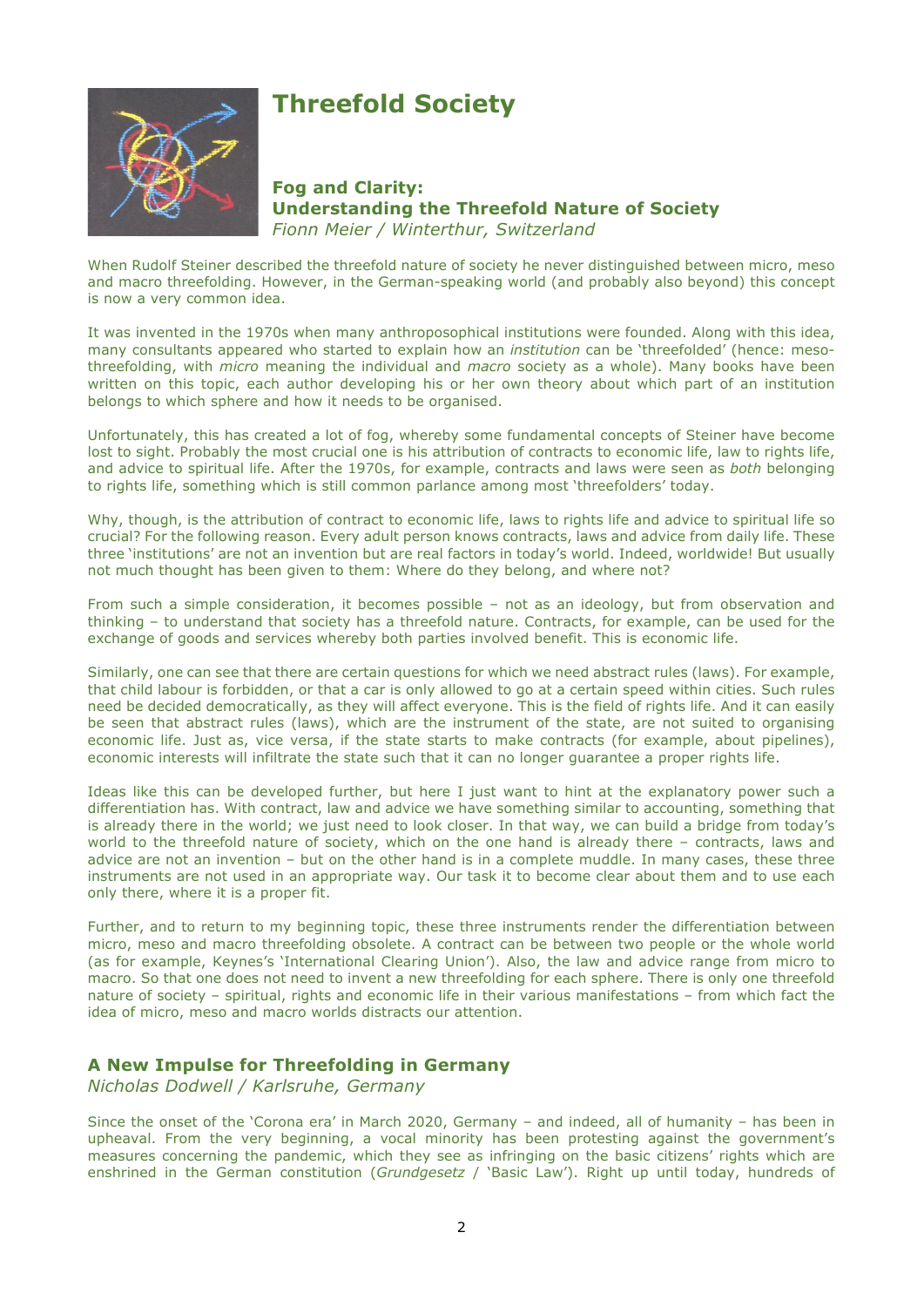

# **Threefold Society**

**Fog and Clarity: Understanding the Threefold Nature of Society** *Fionn Meier / Winterthur, Switzerland*

When Rudolf Steiner described the threefold nature of society he never distinguished between micro, meso and macro threefolding. However, in the German-speaking world (and probably also beyond) this concept is now a very common idea.

It was invented in the 1970s when many anthroposophical institutions were founded. Along with this idea, many consultants appeared who started to explain how an *institution* can be 'threefolded' (hence: mesothreefolding, with *micro* meaning the individual and *macro* society as a whole). Many books have been written on this topic, each author developing his or her own theory about which part of an institution belongs to which sphere and how it needs to be organised.

Unfortunately, this has created a lot of fog, whereby some fundamental concepts of Steiner have become lost to sight. Probably the most crucial one is his attribution of contracts to economic life, law to rights life, and advice to spiritual life. After the 1970s, for example, contracts and laws were seen as *both* belonging to rights life, something which is still common parlance among most 'threefolders' today.

Why, though, is the attribution of contract to economic life, laws to rights life and advice to spiritual life so crucial? For the following reason. Every adult person knows contracts, laws and advice from daily life. These three 'institutions' are not an invention but are real factors in today's world. Indeed, worldwide! But usually not much thought has been given to them: Where do they belong, and where not?

From such a simple consideration, it becomes possible – not as an ideology, but from observation and thinking – to understand that society has a threefold nature. Contracts, for example, can be used for the exchange of goods and services whereby both parties involved benefit. This is economic life.

Similarly, one can see that there are certain questions for which we need abstract rules (laws). For example, that child labour is forbidden, or that a car is only allowed to go at a certain speed within cities. Such rules need be decided democratically, as they will affect everyone. This is the field of rights life. And it can easily be seen that abstract rules (laws), which are the instrument of the state, are not suited to organising economic life. Just as, vice versa, if the state starts to make contracts (for example, about pipelines), economic interests will infiltrate the state such that it can no longer guarantee a proper rights life.

Ideas like this can be developed further, but here I just want to hint at the explanatory power such a differentiation has. With contract, law and advice we have something similar to accounting, something that is already there in the world; we just need to look closer. In that way, we can build a bridge from today's world to the threefold nature of society, which on the one hand is already there – contracts, laws and advice are not an invention – but on the other hand is in a complete muddle. In many cases, these three instruments are not used in an appropriate way. Our task it to become clear about them and to use each only there, where it is a proper fit.

Further, and to return to my beginning topic, these three instruments render the differentiation between micro, meso and macro threefolding obsolete. A contract can be between two people or the whole world (as for example, Keynes's 'International Clearing Union'). Also, the law and advice range from micro to macro. So that one does not need to invent a new threefolding for each sphere. There is only one threefold nature of society – spiritual, rights and economic life in their various manifestations – from which fact the idea of micro, meso and macro worlds distracts our attention.

## **A New Impulse for Threefolding in Germany**

*Nicholas Dodwell / Karlsruhe, Germany*

Since the onset of the 'Corona era' in March 2020, Germany – and indeed, all of humanity – has been in upheaval. From the very beginning, a vocal minority has been protesting against the government's measures concerning the pandemic, which they see as infringing on the basic citizens' rights which are enshrined in the German constitution (*Grundgesetz* / 'Basic Law'). Right up until today, hundreds of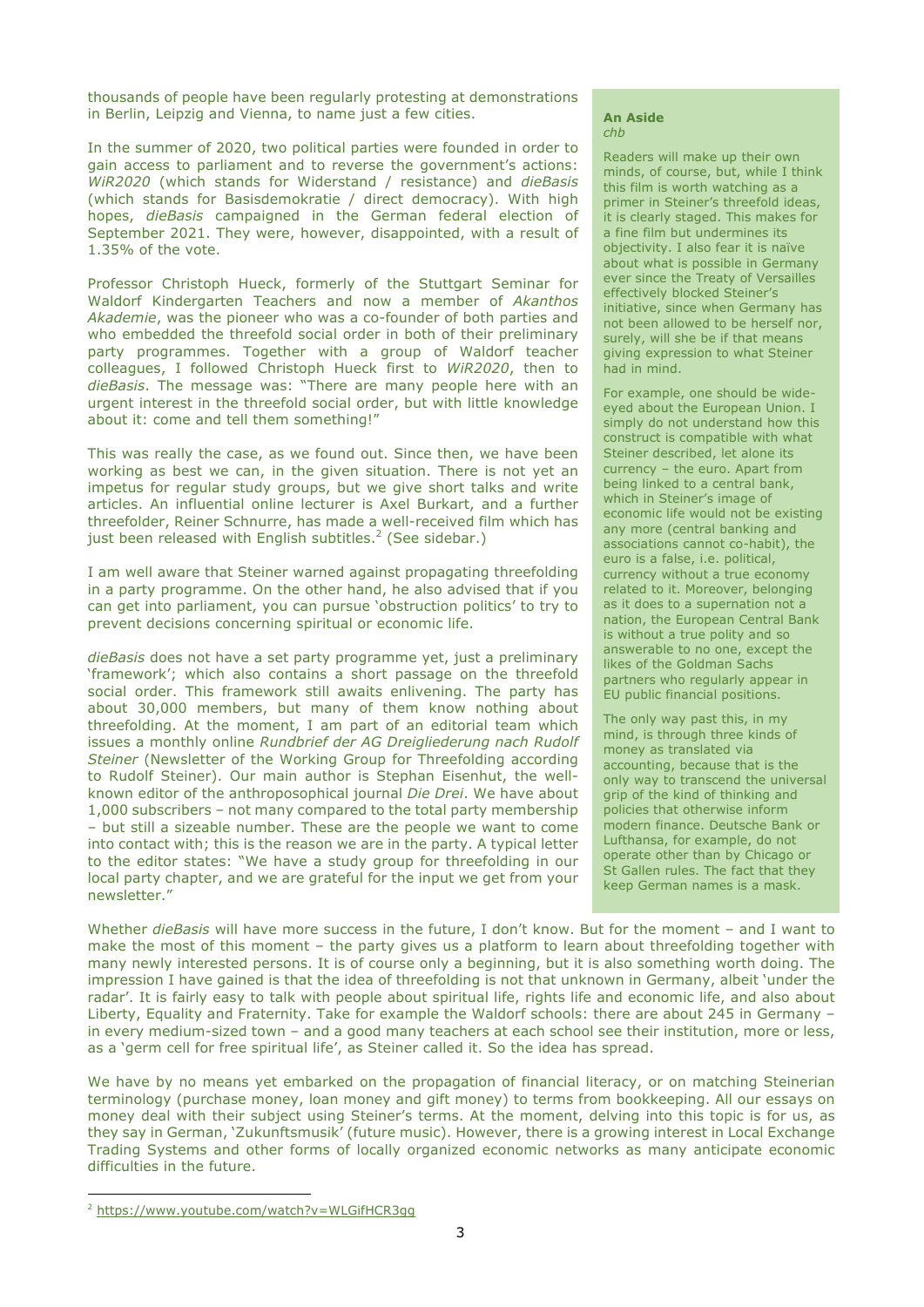thousands of people have been regularly protesting at demonstrations in Berlin, Leipzig and Vienna, to name just a few cities.

In the summer of 2020, two political parties were founded in order to gain access to parliament and to reverse the government's actions: *WiR2020* (which stands for Widerstand / resistance) and *dieBasis* (which stands for Basisdemokratie / direct democracy). With high hopes, *dieBasis* campaigned in the German federal election of September 2021. They were, however, disappointed, with a result of 1.35% of the vote.

Professor Christoph Hueck, formerly of the Stuttgart Seminar for Waldorf Kindergarten Teachers and now a member of *Akanthos Akademie*, was the pioneer who was a co-founder of both parties and who embedded the threefold social order in both of their preliminary party programmes. Together with a group of Waldorf teacher colleagues, I followed Christoph Hueck first to *WiR2020*, then to *dieBasis*. The message was: "There are many people here with an urgent interest in the threefold social order, but with little knowledge about it: come and tell them something!"

This was really the case, as we found out. Since then, we have been working as best we can, in the given situation. There is not yet an impetus for regular study groups, but we give short talks and write articles. An influential online lecturer is Axel Burkart, and a further threefolder, Reiner Schnurre, has made a well-received film which has just been released with English subtitles.<sup>2</sup> (See sidebar.)

I am well aware that Steiner warned against propagating threefolding in a party programme. On the other hand, he also advised that if you can get into parliament, you can pursue 'obstruction politics' to try to prevent decisions concerning spiritual or economic life.

*dieBasis* does not have a set party programme yet, just a preliminary 'framework'; which also contains a short passage on the threefold social order. This framework still awaits enlivening. The party has about 30,000 members, but many of them know nothing about threefolding. At the moment, I am part of an editorial team which issues a monthly online *Rundbrief der AG Dreigliederung nach Rudolf Steiner* (Newsletter of the Working Group for Threefolding according to Rudolf Steiner). Our main author is Stephan Eisenhut, the wellknown editor of the anthroposophical journal *Die Drei*. We have about 1,000 subscribers – not many compared to the total party membership – but still a sizeable number. These are the people we want to come into contact with; this is the reason we are in the party. A typical letter to the editor states: "We have a study group for threefolding in our local party chapter, and we are grateful for the input we get from your newsletter."

#### **An Aside** *chb*

Readers will make up their own minds, of course, but, while I think this film is worth watching as a primer in Steiner's threefold ideas, it is clearly staged. This makes for a fine film but undermines its objectivity. I also fear it is naïve about what is possible in Germany ever since the Treaty of Versailles effectively blocked Steiner's initiative, since when Germany has not been allowed to be herself nor, surely, will she be if that means giving expression to what Steiner had in mind.

For example, one should be wideeyed about the European Union. I simply do not understand how this construct is compatible with what Steiner described, let alone its currency – the euro. Apart from being linked to a central bank, which in Steiner's image of economic life would not be existing any more (central banking and associations cannot co-habit), the euro is a false, i.e. political, currency without a true economy related to it. Moreover, belonging as it does to a supernation not a nation, the European Central Bank is without a true polity and so answerable to no one, except the likes of the Goldman Sachs partners who regularly appear in EU public financial positions.

The only way past this, in my mind, is through three kinds of money as translated via accounting, because that is the only way to transcend the universal grip of the kind of thinking and policies that otherwise inform modern finance. Deutsche Bank or Lufthansa, for example, do not operate other than by Chicago or St Gallen rules. The fact that they keep German names is a mask.

Whether *dieBasis* will have more success in the future, I don't know. But for the moment – and I want to make the most of this moment – the party gives us a platform to learn about threefolding together with many newly interested persons. It is of course only a beginning, but it is also something worth doing. The impression I have gained is that the idea of threefolding is not that unknown in Germany, albeit 'under the radar'. It is fairly easy to talk with people about spiritual life, rights life and economic life, and also about Liberty, Equality and Fraternity. Take for example the Waldorf schools: there are about 245 in Germany – in every medium-sized town – and a good many teachers at each school see their institution, more or less, as a 'germ cell for free spiritual life', as Steiner called it. So the idea has spread.

We have by no means yet embarked on the propagation of financial literacy, or on matching Steinerian terminology (purchase money, loan money and gift money) to terms from bookkeeping. All our essays on money deal with their subject using Steiner's terms. At the moment, delving into this topic is for us, as they say in German, 'Zukunftsmusik' (future music). However, there is a growing interest in Local Exchange Trading Systems and other forms of locally organized economic networks as many anticipate economic difficulties in the future.

<sup>2</sup> https://www.youtube.com/watch?v=WLGifHCR3gg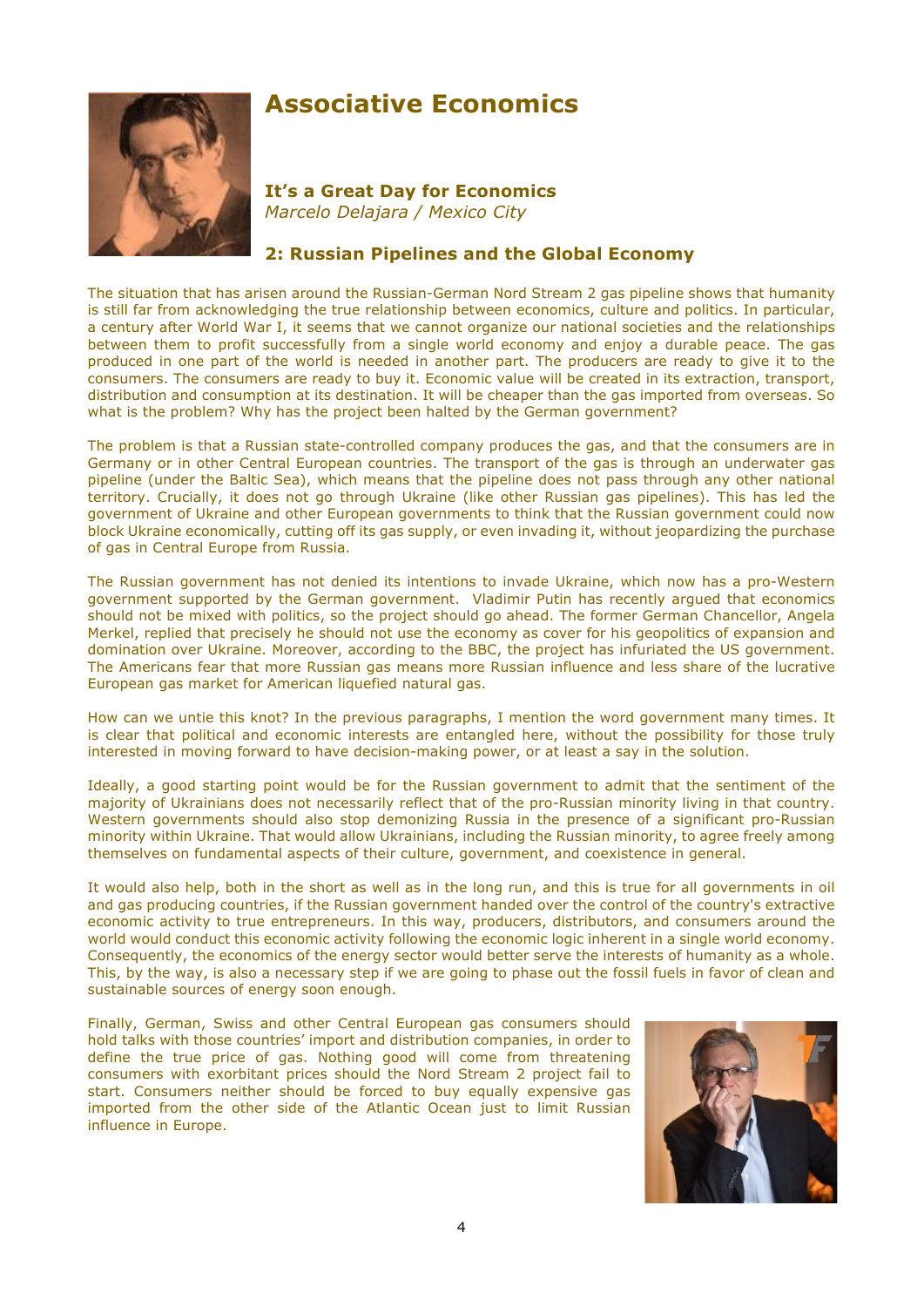

## **Associative Economics**

**It's a Great Day for Economics** *Marcelo Delajara / Mexico City*

## **2: Russian Pipelines and the Global Economy**

The situation that has arisen around the Russian-German Nord Stream 2 gas pipeline shows that humanity is still far from acknowledging the true relationship between economics, culture and politics. In particular, a century after World War I, it seems that we cannot organize our national societies and the relationships between them to profit successfully from a single world economy and enjoy a durable peace. The gas produced in one part of the world is needed in another part. The producers are ready to give it to the consumers. The consumers are ready to buy it. Economic value will be created in its extraction, transport, distribution and consumption at its destination. It will be cheaper than the gas imported from overseas. So what is the problem? Why has the project been halted by the German government?

The problem is that a Russian state-controlled company produces the gas, and that the consumers are in Germany or in other Central European countries. The transport of the gas is through an underwater gas pipeline (under the Baltic Sea), which means that the pipeline does not pass through any other national territory. Crucially, it does not go through Ukraine (like other Russian gas pipelines). This has led the government of Ukraine and other European governments to think that the Russian government could now block Ukraine economically, cutting off its gas supply, or even invading it, without jeopardizing the purchase of gas in Central Europe from Russia.

The Russian government has not denied its intentions to invade Ukraine, which now has a pro-Western government supported by the German government. Vladimir Putin has recently argued that economics should not be mixed with politics, so the project should go ahead. The former German Chancellor, Angela Merkel, replied that precisely he should not use the economy as cover for his geopolitics of expansion and domination over Ukraine. Moreover, according to the BBC, the project has infuriated the US government. The Americans fear that more Russian gas means more Russian influence and less share of the lucrative European gas market for American liquefied natural gas.

How can we untie this knot? In the previous paragraphs, I mention the word government many times. It is clear that political and economic interests are entangled here, without the possibility for those truly interested in moving forward to have decision-making power, or at least a say in the solution.

Ideally, a good starting point would be for the Russian government to admit that the sentiment of the majority of Ukrainians does not necessarily reflect that of the pro-Russian minority living in that country. Western governments should also stop demonizing Russia in the presence of a significant pro-Russian minority within Ukraine. That would allow Ukrainians, including the Russian minority, to agree freely among themselves on fundamental aspects of their culture, government, and coexistence in general.

It would also help, both in the short as well as in the long run, and this is true for all governments in oil and gas producing countries, if the Russian government handed over the control of the country's extractive economic activity to true entrepreneurs. In this way, producers, distributors, and consumers around the world would conduct this economic activity following the economic logic inherent in a single world economy. Consequently, the economics of the energy sector would better serve the interests of humanity as a whole. This, by the way, is also a necessary step if we are going to phase out the fossil fuels in favor of clean and sustainable sources of energy soon enough.

Finally, German, Swiss and other Central European gas consumers should hold talks with those countries' import and distribution companies, in order to define the true price of gas. Nothing good will come from threatening consumers with exorbitant prices should the Nord Stream 2 project fail to start. Consumers neither should be forced to buy equally expensive gas imported from the other side of the Atlantic Ocean just to limit Russian influence in Europe.

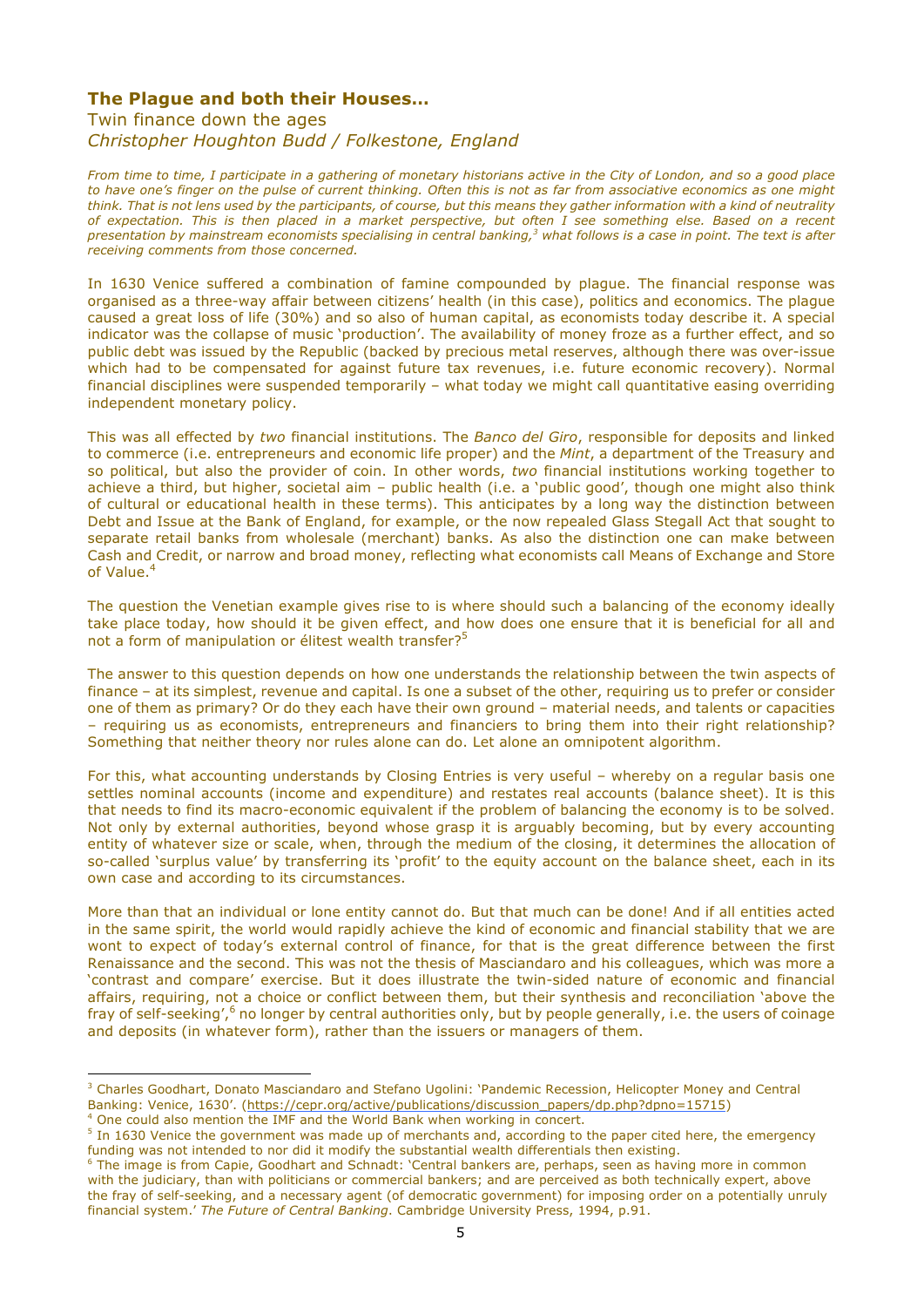### **The Plague and both their Houses…**

Twin finance down the ages

*Christopher Houghton Budd / Folkestone, England*

*From time to time, I participate in a gathering of monetary historians active in the City of London, and so a good place to have one's finger on the pulse of current thinking. Often this is not as far from associative economics as one might think. That is not lens used by the participants, of course, but this means they gather information with a kind of neutrality of expectation. This is then placed in a market perspective, but often I see something else. Based on a recent presentation by mainstream economists specialising in central banking, <sup>3</sup> what follows is a case in point. The text is after receiving comments from those concerned.*

In 1630 Venice suffered a combination of famine compounded by plague. The financial response was organised as a three-way affair between citizens' health (in this case), politics and economics. The plague caused a great loss of life (30%) and so also of human capital, as economists today describe it. A special indicator was the collapse of music 'production'. The availability of money froze as a further effect, and so public debt was issued by the Republic (backed by precious metal reserves, although there was over-issue which had to be compensated for against future tax revenues, i.e. future economic recovery). Normal financial disciplines were suspended temporarily – what today we might call quantitative easing overriding independent monetary policy.

This was all effected by *two* financial institutions. The *Banco del Giro*, responsible for deposits and linked to commerce (i.e. entrepreneurs and economic life proper) and the *Mint*, a department of the Treasury and so political, but also the provider of coin. In other words, *two* financial institutions working together to achieve a third, but higher, societal aim – public health (i.e. a 'public good', though one might also think of cultural or educational health in these terms). This anticipates by a long way the distinction between Debt and Issue at the Bank of England, for example, or the now repealed Glass Stegall Act that sought to separate retail banks from wholesale (merchant) banks. As also the distinction one can make between Cash and Credit, or narrow and broad money, reflecting what economists call Means of Exchange and Store of Value.4

The question the Venetian example gives rise to is where should such a balancing of the economy ideally take place today, how should it be given effect, and how does one ensure that it is beneficial for all and not a form of manipulation or élitest wealth transfer?<sup>5</sup>

The answer to this question depends on how one understands the relationship between the twin aspects of finance – at its simplest, revenue and capital. Is one a subset of the other, requiring us to prefer or consider one of them as primary? Or do they each have their own ground – material needs, and talents or capacities – requiring us as economists, entrepreneurs and financiers to bring them into their right relationship? Something that neither theory nor rules alone can do. Let alone an omnipotent algorithm.

For this, what accounting understands by Closing Entries is very useful – whereby on a regular basis one settles nominal accounts (income and expenditure) and restates real accounts (balance sheet). It is this that needs to find its macro-economic equivalent if the problem of balancing the economy is to be solved. Not only by external authorities, beyond whose grasp it is arguably becoming, but by every accounting entity of whatever size or scale, when, through the medium of the closing, it determines the allocation of so-called 'surplus value' by transferring its 'profit' to the equity account on the balance sheet, each in its own case and according to its circumstances.

More than that an individual or lone entity cannot do. But that much can be done! And if all entities acted in the same spirit, the world would rapidly achieve the kind of economic and financial stability that we are wont to expect of today's external control of finance, for that is the great difference between the first Renaissance and the second. This was not the thesis of Masciandaro and his colleagues, which was more a 'contrast and compare' exercise. But it does illustrate the twin-sided nature of economic and financial affairs, requiring, not a choice or conflict between them, but their synthesis and reconciliation 'above the fray of self-seeking',<sup>6</sup> no longer by central authorities only, but by people generally, i.e. the users of coinage and deposits (in whatever form), rather than the issuers or managers of them.

 $\overline{a}$ <sup>3</sup> Charles Goodhart, Donato Masciandaro and Stefano Ugolini: 'Pandemic Recession, Helicopter Money and Central Banking: Venice, 1630'. (https://cepr.org/active/publications/discussion\_papers/dp.php?dpno=15715) 4 One could also mention the IMF and the World Bank when working in concert.

<sup>&</sup>lt;sup>5</sup> In 1630 Venice the government was made up of merchants and, according to the paper cited here, the emergency funding was not intended to nor did it modify the substantial wealth differentials then existing.

<sup>&</sup>lt;sup>6</sup> The image is from Capie, Goodhart and Schnadt: 'Central bankers are, perhaps, seen as having more in common with the judiciary, than with politicians or commercial bankers; and are perceived as both technically expert, above the fray of self-seeking, and a necessary agent (of democratic government) for imposing order on a potentially unruly financial system.' *The Future of Central Banking*. Cambridge University Press, 1994, p.91.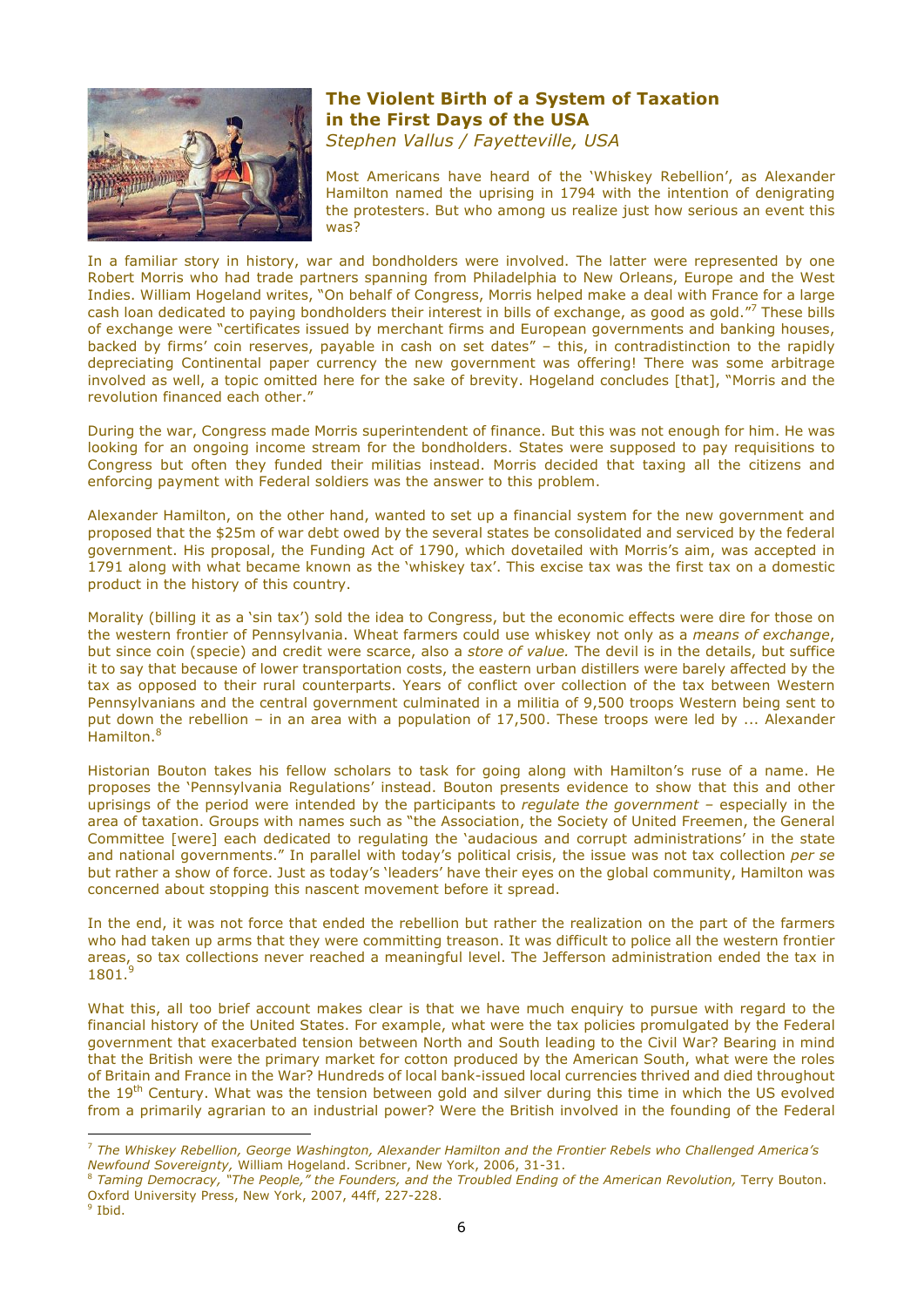

## **The Violent Birth of a System of Taxation in the First Days of the USA** *Stephen Vallus / Fayetteville, USA*

Most Americans have heard of the 'Whiskey Rebellion', as Alexander Hamilton named the uprising in 1794 with the intention of denigrating the protesters. But who among us realize just how serious an event this was?

In a familiar story in history, war and bondholders were involved. The latter were represented by one Robert Morris who had trade partners spanning from Philadelphia to New Orleans, Europe and the West Indies. William Hogeland writes, "On behalf of Congress, Morris helped make a deal with France for a large cash loan dedicated to paying bondholders their interest in bills of exchange, as good as gold."7 These bills of exchange were "certificates issued by merchant firms and European governments and banking houses, backed by firms' coin reserves, payable in cash on set dates" – this, in contradistinction to the rapidly depreciating Continental paper currency the new government was offering! There was some arbitrage involved as well, a topic omitted here for the sake of brevity. Hogeland concludes [that], "Morris and the revolution financed each other."

During the war, Congress made Morris superintendent of finance. But this was not enough for him. He was looking for an ongoing income stream for the bondholders. States were supposed to pay requisitions to Congress but often they funded their militias instead. Morris decided that taxing all the citizens and enforcing payment with Federal soldiers was the answer to this problem.

Alexander Hamilton, on the other hand, wanted to set up a financial system for the new government and proposed that the \$25m of war debt owed by the several states be consolidated and serviced by the federal government. His proposal, the Funding Act of 1790, which dovetailed with Morris's aim, was accepted in 1791 along with what became known as the 'whiskey tax'. This excise tax was the first tax on a domestic product in the history of this country.

Morality (billing it as a 'sin tax') sold the idea to Congress, but the economic effects were dire for those on the western frontier of Pennsylvania. Wheat farmers could use whiskey not only as a *means of exchange*, but since coin (specie) and credit were scarce, also a *store of value.* The devil is in the details, but suffice it to say that because of lower transportation costs, the eastern urban distillers were barely affected by the tax as opposed to their rural counterparts. Years of conflict over collection of the tax between Western Pennsylvanians and the central government culminated in a militia of 9,500 troops Western being sent to put down the rebellion – in an area with a population of 17,500. These troops were led by ... Alexander Hamilton.<sup>8</sup>

Historian Bouton takes his fellow scholars to task for going along with Hamilton's ruse of a name. He proposes the 'Pennsylvania Regulations' instead. Bouton presents evidence to show that this and other uprisings of the period were intended by the participants to *regulate the government –* especially in the area of taxation. Groups with names such as "the Association, the Society of United Freemen, the General Committee [were] each dedicated to regulating the 'audacious and corrupt administrations' in the state and national governments." In parallel with today's political crisis, the issue was not tax collection *per se* but rather a show of force. Just as today's 'leaders' have their eyes on the global community, Hamilton was concerned about stopping this nascent movement before it spread.

In the end, it was not force that ended the rebellion but rather the realization on the part of the farmers who had taken up arms that they were committing treason. It was difficult to police all the western frontier areas, so tax collections never reached a meaningful level. The Jefferson administration ended the tax in 1801.<sup>9</sup>

What this, all too brief account makes clear is that we have much enquiry to pursue with regard to the financial history of the United States. For example, what were the tax policies promulgated by the Federal government that exacerbated tension between North and South leading to the Civil War? Bearing in mind that the British were the primary market for cotton produced by the American South, what were the roles of Britain and France in the War? Hundreds of local bank-issued local currencies thrived and died throughout the 19<sup>th</sup> Century. What was the tension between gold and silver during this time in which the US evolved from a primarily agrarian to an industrial power? Were the British involved in the founding of the Federal

 $\overline{a}$ <sup>7</sup> *The Whiskey Rebellion, George Washington, Alexander Hamilton and the Frontier Rebels who Challenged America's Newfound Sovereignty,* William Hogeland. Scribner, New York, 2006, 31-31. 8 *Taming Democracy, "The People," the Founders, and the Troubled Ending of the American Revolution,* Terry Bouton.

Oxford University Press, New York, 2007, 44ff, 227-228.<br><sup>9</sup> Ibid.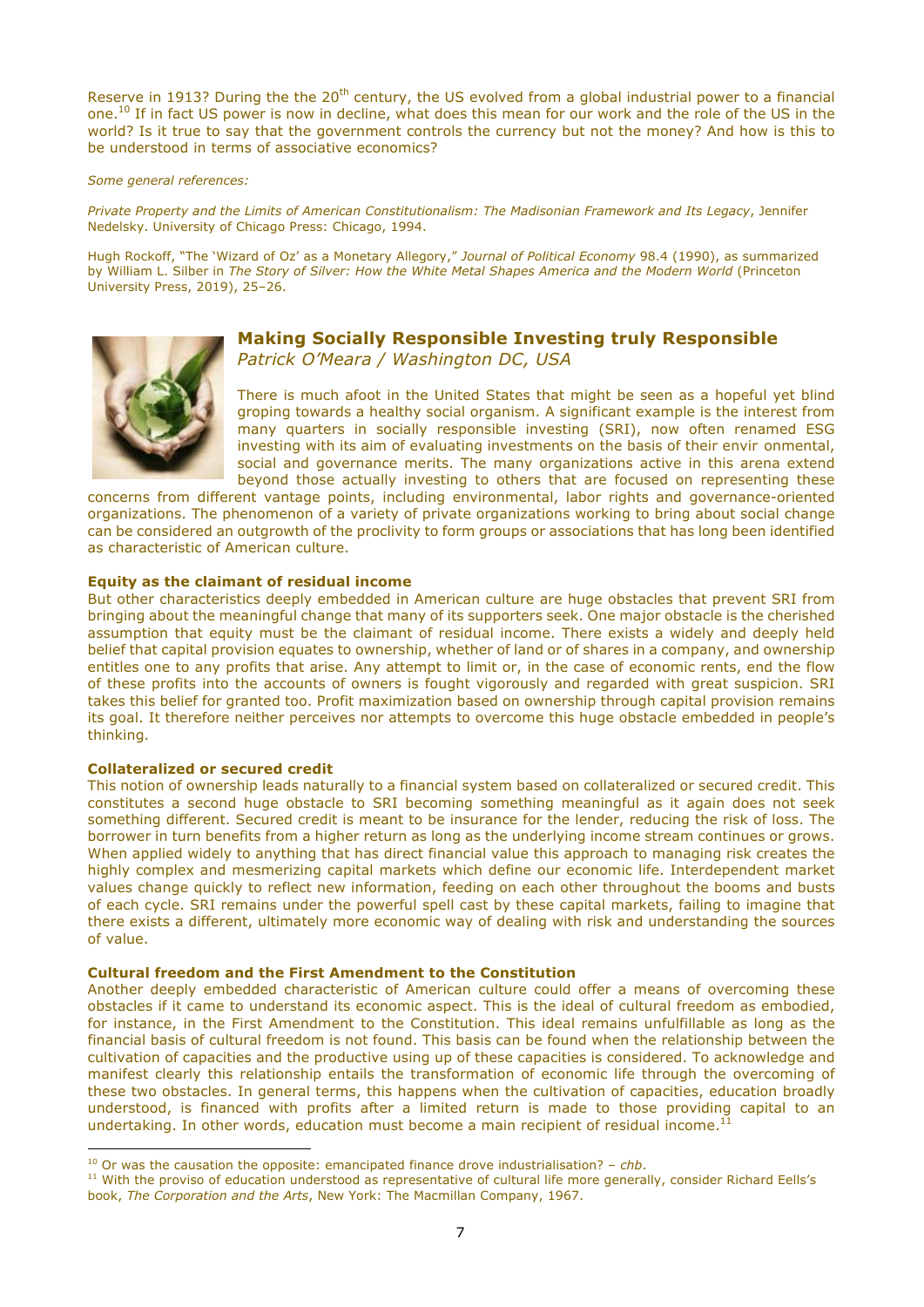Reserve in 1913? During the the 20<sup>th</sup> century, the US evolved from a global industrial power to a financial one.10 If in fact US power is now in decline, what does this mean for our work and the role of the US in the world? Is it true to say that the government controls the currency but not the money? And how is this to be understood in terms of associative economics?

#### *Some general references:*

*Private Property and the Limits of American Constitutionalism: The Madisonian Framework and Its Legacy*, Jennifer Nedelsky. University of Chicago Press: Chicago, 1994.

Hugh Rockoff, "The 'Wizard of Oz' as a Monetary Allegory," *Journal of Political Economy* 98.4 (1990), as summarized by William L. Silber in *The Story of Silver: How the White Metal Shapes America and the Modern World* (Princeton University Press, 2019), 25–26.



## **Making Socially Responsible Investing truly Responsible** *Patrick O'Meara / Washington DC, USA*

There is much afoot in the United States that might be seen as a hopeful yet blind groping towards a healthy social organism. A significant example is the interest from many quarters in socially responsible investing (SRI), now often renamed ESG investing with its aim of evaluating investments on the basis of their envir onmental, social and governance merits. The many organizations active in this arena extend beyond those actually investing to others that are focused on representing these

concerns from different vantage points, including environmental, labor rights and governance-oriented organizations. The phenomenon of a variety of private organizations working to bring about social change can be considered an outgrowth of the proclivity to form groups or associations that has long been identified as characteristic of American culture.

#### **Equity as the claimant of residual income**

But other characteristics deeply embedded in American culture are huge obstacles that prevent SRI from bringing about the meaningful change that many of its supporters seek. One major obstacle is the cherished assumption that equity must be the claimant of residual income. There exists a widely and deeply held belief that capital provision equates to ownership, whether of land or of shares in a company, and ownership entitles one to any profits that arise. Any attempt to limit or, in the case of economic rents, end the flow of these profits into the accounts of owners is fought vigorously and regarded with great suspicion. SRI takes this belief for granted too. Profit maximization based on ownership through capital provision remains its goal. It therefore neither perceives nor attempts to overcome this huge obstacle embedded in people's thinking.

#### **Collateralized or secured credit**

 $\overline{a}$ 

This notion of ownership leads naturally to a financial system based on collateralized or secured credit. This constitutes a second huge obstacle to SRI becoming something meaningful as it again does not seek something different. Secured credit is meant to be insurance for the lender, reducing the risk of loss. The borrower in turn benefits from a higher return as long as the underlying income stream continues or grows. When applied widely to anything that has direct financial value this approach to managing risk creates the highly complex and mesmerizing capital markets which define our economic life. Interdependent market values change quickly to reflect new information, feeding on each other throughout the booms and busts of each cycle. SRI remains under the powerful spell cast by these capital markets, failing to imagine that there exists a different, ultimately more economic way of dealing with risk and understanding the sources of value.

#### **Cultural freedom and the First Amendment to the Constitution**

Another deeply embedded characteristic of American culture could offer a means of overcoming these obstacles if it came to understand its economic aspect. This is the ideal of cultural freedom as embodied, for instance, in the First Amendment to the Constitution. This ideal remains unfulfillable as long as the financial basis of cultural freedom is not found. This basis can be found when the relationship between the cultivation of capacities and the productive using up of these capacities is considered. To acknowledge and manifest clearly this relationship entails the transformation of economic life through the overcoming of these two obstacles. In general terms, this happens when the cultivation of capacities, education broadly understood, is financed with profits after a limited return is made to those providing capital to an undertaking. In other words, education must become a main recipient of residual income.<sup>1</sup>

<sup>&</sup>lt;sup>10</sup> Or was the causation the opposite: emancipated finance drove industrialisation? – *chb*.

<sup>&</sup>lt;sup>11</sup> With the proviso of education understood as representative of cultural life more generally, consider Richard Eells's book, *The Corporation and the Arts*, New York: The Macmillan Company, 1967.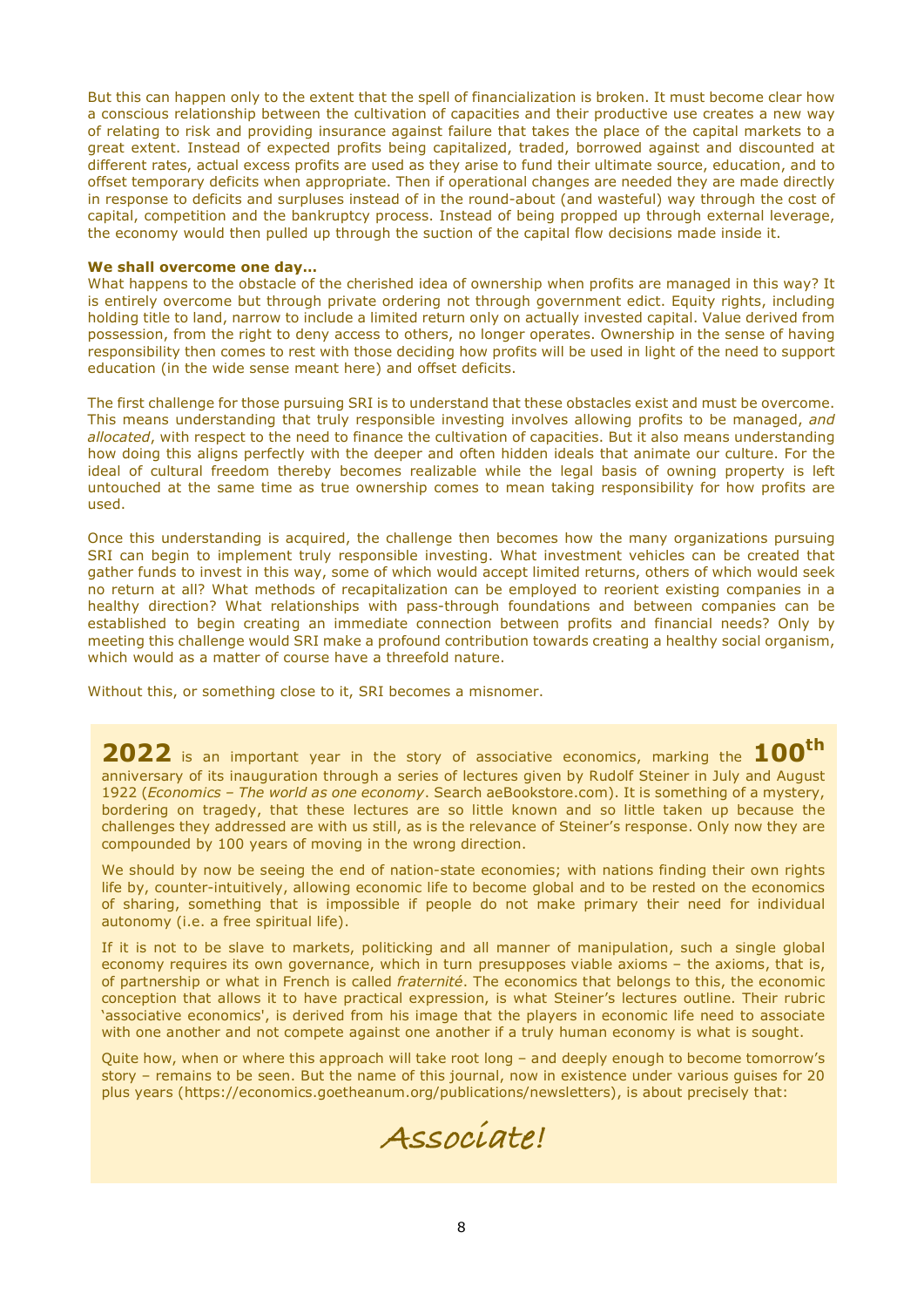But this can happen only to the extent that the spell of financialization is broken. It must become clear how a conscious relationship between the cultivation of capacities and their productive use creates a new way of relating to risk and providing insurance against failure that takes the place of the capital markets to a great extent. Instead of expected profits being capitalized, traded, borrowed against and discounted at different rates, actual excess profits are used as they arise to fund their ultimate source, education, and to offset temporary deficits when appropriate. Then if operational changes are needed they are made directly in response to deficits and surpluses instead of in the round-about (and wasteful) way through the cost of capital, competition and the bankruptcy process. Instead of being propped up through external leverage, the economy would then pulled up through the suction of the capital flow decisions made inside it.

#### **We shall overcome one day…**

What happens to the obstacle of the cherished idea of ownership when profits are managed in this way? It is entirely overcome but through private ordering not through government edict. Equity rights, including holding title to land, narrow to include a limited return only on actually invested capital. Value derived from possession, from the right to deny access to others, no longer operates. Ownership in the sense of having responsibility then comes to rest with those deciding how profits will be used in light of the need to support education (in the wide sense meant here) and offset deficits.

The first challenge for those pursuing SRI is to understand that these obstacles exist and must be overcome. This means understanding that truly responsible investing involves allowing profits to be managed, *and allocated*, with respect to the need to finance the cultivation of capacities. But it also means understanding how doing this aligns perfectly with the deeper and often hidden ideals that animate our culture. For the ideal of cultural freedom thereby becomes realizable while the legal basis of owning property is left untouched at the same time as true ownership comes to mean taking responsibility for how profits are used.

Once this understanding is acquired, the challenge then becomes how the many organizations pursuing SRI can begin to implement truly responsible investing. What investment vehicles can be created that gather funds to invest in this way, some of which would accept limited returns, others of which would seek no return at all? What methods of recapitalization can be employed to reorient existing companies in a healthy direction? What relationships with pass-through foundations and between companies can be established to begin creating an immediate connection between profits and financial needs? Only by meeting this challenge would SRI make a profound contribution towards creating a healthy social organism, which would as a matter of course have a threefold nature.

Without this, or something close to it, SRI becomes a misnomer.

**2022** is an important year in the story of associative economics, marking the **100th** anniversary of its inauguration through a series of lectures given by Rudolf Steiner in July and August 1922 (*Economics – The world as one economy*. Search aeBookstore.com). It is something of a mystery, bordering on tragedy, that these lectures are so little known and so little taken up because the challenges they addressed are with us still, as is the relevance of Steiner's response. Only now they are compounded by 100 years of moving in the wrong direction.

We should by now be seeing the end of nation-state economies; with nations finding their own rights life by, counter-intuitively, allowing economic life to become global and to be rested on the economics of sharing, something that is impossible if people do not make primary their need for individual autonomy (i.e. a free spiritual life).

If it is not to be slave to markets, politicking and all manner of manipulation, such a single global economy requires its own governance, which in turn presupposes viable axioms – the axioms, that is, of partnership or what in French is called *fraternité*. The economics that belongs to this, the economic conception that allows it to have practical expression, is what Steiner's lectures outline. Their rubric 'associative economics', is derived from his image that the players in economic life need to associate with one another and not compete against one another if a truly human economy is what is sought.

Quite how, when or where this approach will take root long – and deeply enough to become tomorrow's story – remains to be seen. But the name of this journal, now in existence under various guises for 20 plus years (https://economics.goetheanum.org/publications/newsletters), is about precisely that:

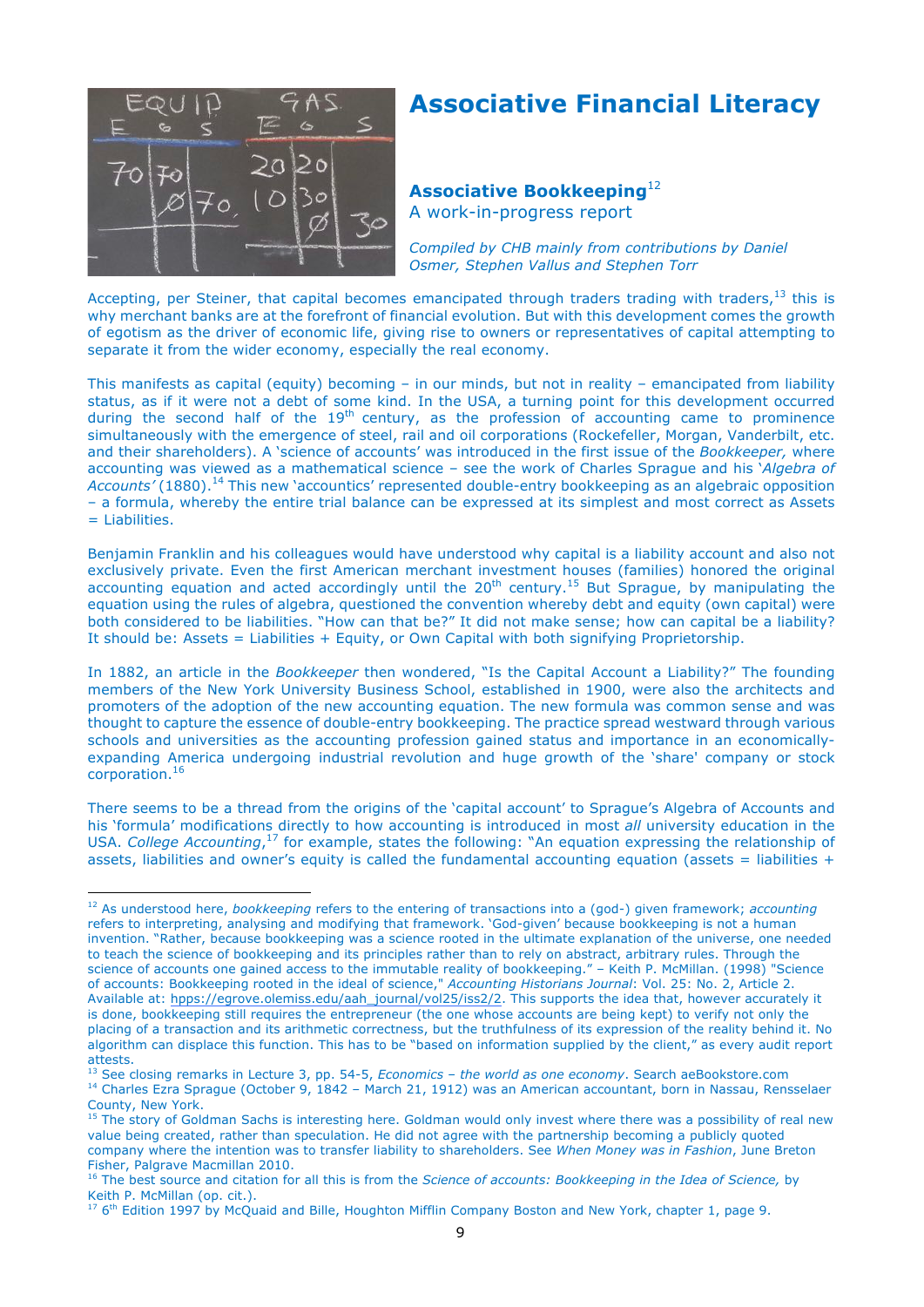

## **Associative Financial Literacy**

## **Associative Bookkeeping**<sup>12</sup>

A work-in-progress report

*Compiled by CHB mainly from contributions by Daniel Osmer, Stephen Vallus and Stephen Torr*

Accepting, per Steiner, that capital becomes emancipated through traders trading with traders,  $13$  this is why merchant banks are at the forefront of financial evolution. But with this development comes the growth of egotism as the driver of economic life, giving rise to owners or representatives of capital attempting to separate it from the wider economy, especially the real economy.

This manifests as capital (equity) becoming – in our minds, but not in reality – emancipated from liability status, as if it were not a debt of some kind. In the USA, a turning point for this development occurred during the second half of the  $19<sup>th</sup>$  century, as the profession of accounting came to prominence simultaneously with the emergence of steel, rail and oil corporations (Rockefeller, Morgan, Vanderbilt, etc. and their shareholders). A 'science of accounts' was introduced in the first issue of the *Bookkeeper,* where accounting was viewed as a mathematical science – see the work of Charles Sprague and his '*Algebra of*  Accounts' (1880).<sup>14</sup> This new 'accountics' represented double-entry bookkeeping as an algebraic opposition – a formula, whereby the entire trial balance can be expressed at its simplest and most correct as Assets = Liabilities.

Benjamin Franklin and his colleagues would have understood why capital is a liability account and also not exclusively private. Even the first American merchant investment houses (families) honored the original accounting equation and acted accordingly until the  $20^{th}$  century.<sup>15</sup> But Sprague, by manipulating the equation using the rules of algebra, questioned the convention whereby debt and equity (own capital) were both considered to be liabilities. "How can that be?" It did not make sense; how can capital be a liability? It should be: Assets = Liabilities + Equity, or Own Capital with both signifying Proprietorship.

In 1882, an article in the *Bookkeeper* then wondered, "Is the Capital Account a Liability?" The founding members of the New York University Business School, established in 1900, were also the architects and promoters of the adoption of the new accounting equation. The new formula was common sense and was thought to capture the essence of double-entry bookkeeping. The practice spread westward through various schools and universities as the accounting profession gained status and importance in an economicallyexpanding America undergoing industrial revolution and huge growth of the 'share' company or stock corporation.<sup>16</sup>

There seems to be a thread from the origins of the 'capital account' to Sprague's Algebra of Accounts and his 'formula' modifications directly to how accounting is introduced in most *all* university education in the USA. *College Accounting*, <sup>17</sup> for example, states the following: "An equation expressing the relationship of assets, liabilities and owner's equity is called the fundamental accounting equation (assets = liabilities +

 $\overline{a}$ <sup>12</sup> As understood here, *bookkeeping* refers to the entering of transactions into a (god-) given framework; *accounting* refers to interpreting, analysing and modifying that framework. 'God-given' because bookkeeping is not a human invention. "Rather, because bookkeeping was a science rooted in the ultimate explanation of the universe, one needed to teach the science of bookkeeping and its principles rather than to rely on abstract, arbitrary rules. Through the science of accounts one gained access to the immutable reality of bookkeeping." – Keith P. McMillan. (1998) "Science of accounts: Bookkeeping rooted in the ideal of science," *Accounting Historians Journal*: Vol. 25: No. 2, Article 2. Available at: hpps://egrove.olemiss.edu/aah\_journal/vol25/iss2/2. This supports the idea that, however accurately it is done, bookkeeping still requires the entrepreneur (the one whose accounts are being kept) to verify not only the placing of a transaction and its arithmetic correctness, but the truthfulness of its expression of the reality behind it. No algorithm can displace this function. This has to be "based on information supplied by the client," as every audit report attests.

<sup>13</sup> See closing remarks in Lecture 3, pp. 54-5, *Economics – the world as one economy*. Search aeBookstore.com <sup>14</sup> Charles Ezra Sprague (October 9, 1842 – March 21, 1912) was an American accountant, born in Nassau, Rensselaer County, New York.

<sup>&</sup>lt;sup>15</sup> The story of Goldman Sachs is interesting here. Goldman would only invest where there was a possibility of real new value being created, rather than speculation. He did not agree with the partnership becoming a publicly quoted company where the intention was to transfer liability to shareholders. See *When Money was in Fashion*, June Breton Fisher, Palgrave Macmillan 2010.

<sup>&</sup>lt;sup>16</sup> The best source and citation for all this is from the *Science of accounts: Bookkeeping in the Idea of Science,* by<br>Keith P. McMillan (op. cit.).

 $^{17}$  6<sup>th</sup> Edition 1997 by McQuaid and Bille, Houghton Mifflin Company Boston and New York, chapter 1, page 9.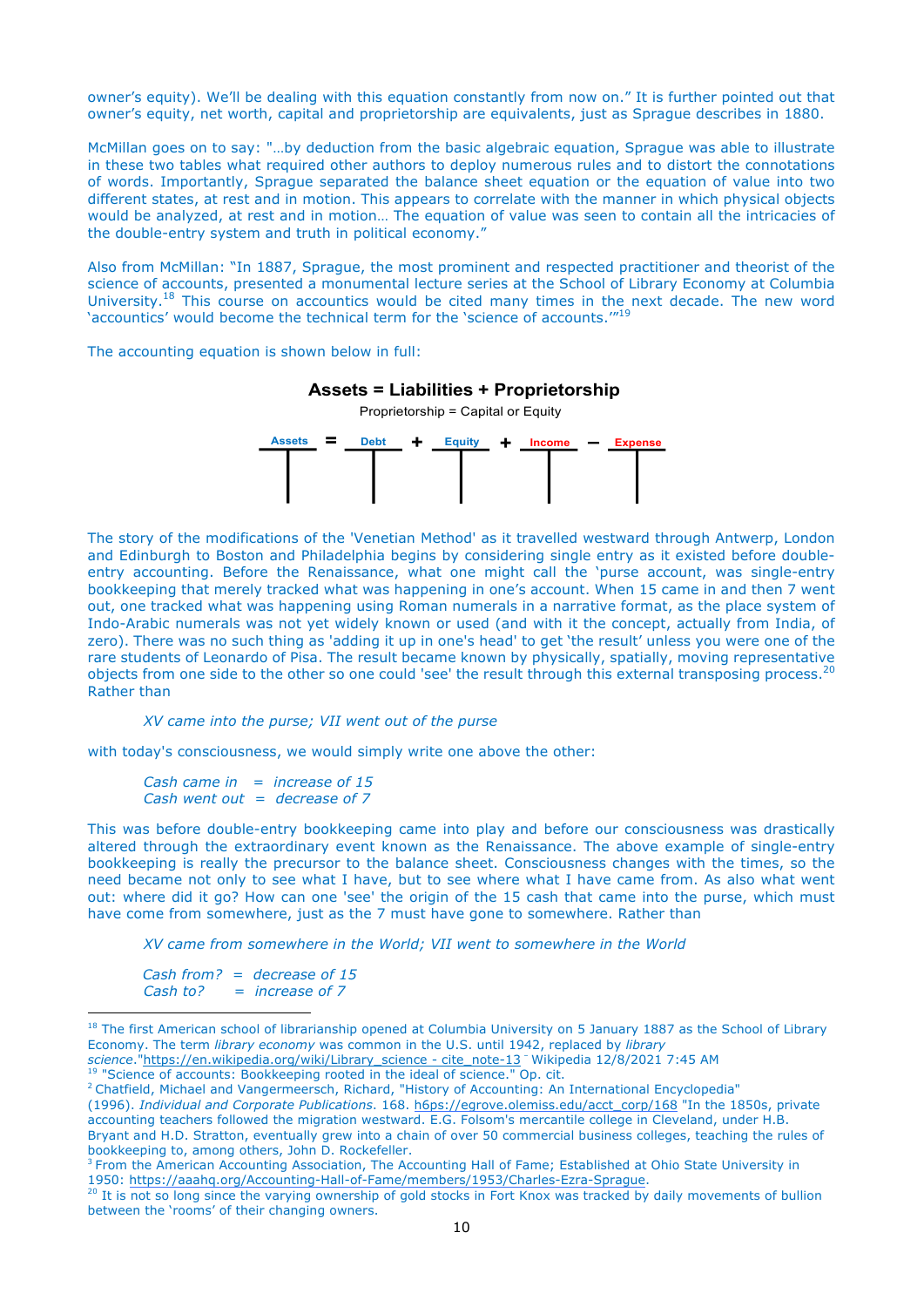owner's equity). We'll be dealing with this equation constantly from now on." It is further pointed out that owner's equity, net worth, capital and proprietorship are equivalents, just as Sprague describes in 1880.

McMillan goes on to say: "…by deduction from the basic algebraic equation, Sprague was able to illustrate in these two tables what required other authors to deploy numerous rules and to distort the connotations of words. Importantly, Sprague separated the balance sheet equation or the equation of value into two different states, at rest and in motion. This appears to correlate with the manner in which physical objects would be analyzed, at rest and in motion… The equation of value was seen to contain all the intricacies of the double-entry system and truth in political economy." **III. Double Entry Accounting: Equation Approach (American)**

Also from McMillan: "In 1887, Sprague, the most prominent and respected practitioner and theorist of the science of accounts, presented a monumental lecture series at the School of Library Economy at Columbia University.18 This course on accountics would be cited many times in the next decade. The new word University.<sup>19</sup> This course on accountics would be cited many times in the next de<br>'accountics' would become the technical term for the 'science of accounts.'"<sup>19</sup> a "history of values" experience of accordance of accordance of accordance of accordance of accordance of accordance of accordance of accordance of accordance of accordance of accordance of  $\alpha$ 

The accounting equation is shown below in full:



**Assets = Liabilities + Proprietorship** 

The story of the modifications of the 'Venetian Method' as it travelled westward through Antwerp, London and Edinburgh to Boston and Philadelphia begins by considering single entry as it existed before doubleentry accounting. Before the Renaissance, what one might call the 'purse account, was single-entry bookkeeping that merely tracked what was happening in one's account. When 15 came in and then 7 went out, one tracked what was happening using Roman numerals in a narrative format, as the place system of Indo-Arabic numerals was not yet widely known or used (and with it the concept, actually from India, of zero). There was no such thing as 'adding it up in one's head' to get 'the result' unless you were one of the rare students of Leonardo of Pisa. The result became known by physically, spatially, moving representative objects from one side to the other so one could 'see' the result through this external transposing process.<sup>20</sup> Rather than

*XV came into the purse; VII went out of the purse*

with today's consciousness, we would simply write one above the other:

*Cash came in = increase of 15 Cash went out = decrease of 7*

This was before double-entry bookkeeping came into play and before our consciousness was drastically altered through the extraordinary event known as the Renaissance. The above example of single-entry bookkeeping is really the precursor to the balance sheet. Consciousness changes with the times, so the need became not only to see what I have, but to see where what I have came from. As also what went out: where did it go? How can one 'see' the origin of the 15 cash that came into the purse, which must have come from somewhere, just as the 7 must have gone to somewhere. Rather than

*XV came from somewhere in the World; VII went to somewhere in the World*

*Cash from? = decrease of 15 Cash to? = increase of 7*

 $\overline{a}$ 

<sup>19</sup> "Science of accounts: Bookkeeping rooted in the ideal of science." Op. cit.

<sup>&</sup>lt;sup>18</sup> The first American school of librarianship opened at Columbia University on 5 January 1887 as the School of Library Economy. The term *library economy* was common in the U.S. until 1942, replaced by *library* 

*science*."https://en.wikipedia.org/wiki/Library\_science - cite\_note-13 – Wikipedia 12/8/2021 7:45 AM

<sup>2</sup> Chatfield, Michael and Vangermeersch, Richard, "History of Accounting: An International Encyclopedia" (1996). *Individual and Corporate Publications*. 168. h6ps://egrove.olemiss.edu/acct\_corp/168 "In the 1850s, private accounting teachers followed the migration westward. E.G. Folsom's mercantile college in Cleveland, under H.B. Bryant and H.D. Stratton, eventually grew into a chain of over 50 commercial business colleges, teaching the rules of bookkeeping to, among others, John D. Rockefeller.

<sup>&</sup>lt;sup>3</sup> From the American Accounting Association, The Accounting Hall of Fame; Established at Ohio State University in 1950: https://aaahq.org/Accounting-Hall-of-Fame/members/1953/Charles-Ezra-Sprague.

<sup>&</sup>lt;sup>20</sup> It is not so long since the varying ownership of gold stocks in Fort Knox was tracked by daily movements of bullion between the 'rooms' of their changing owners.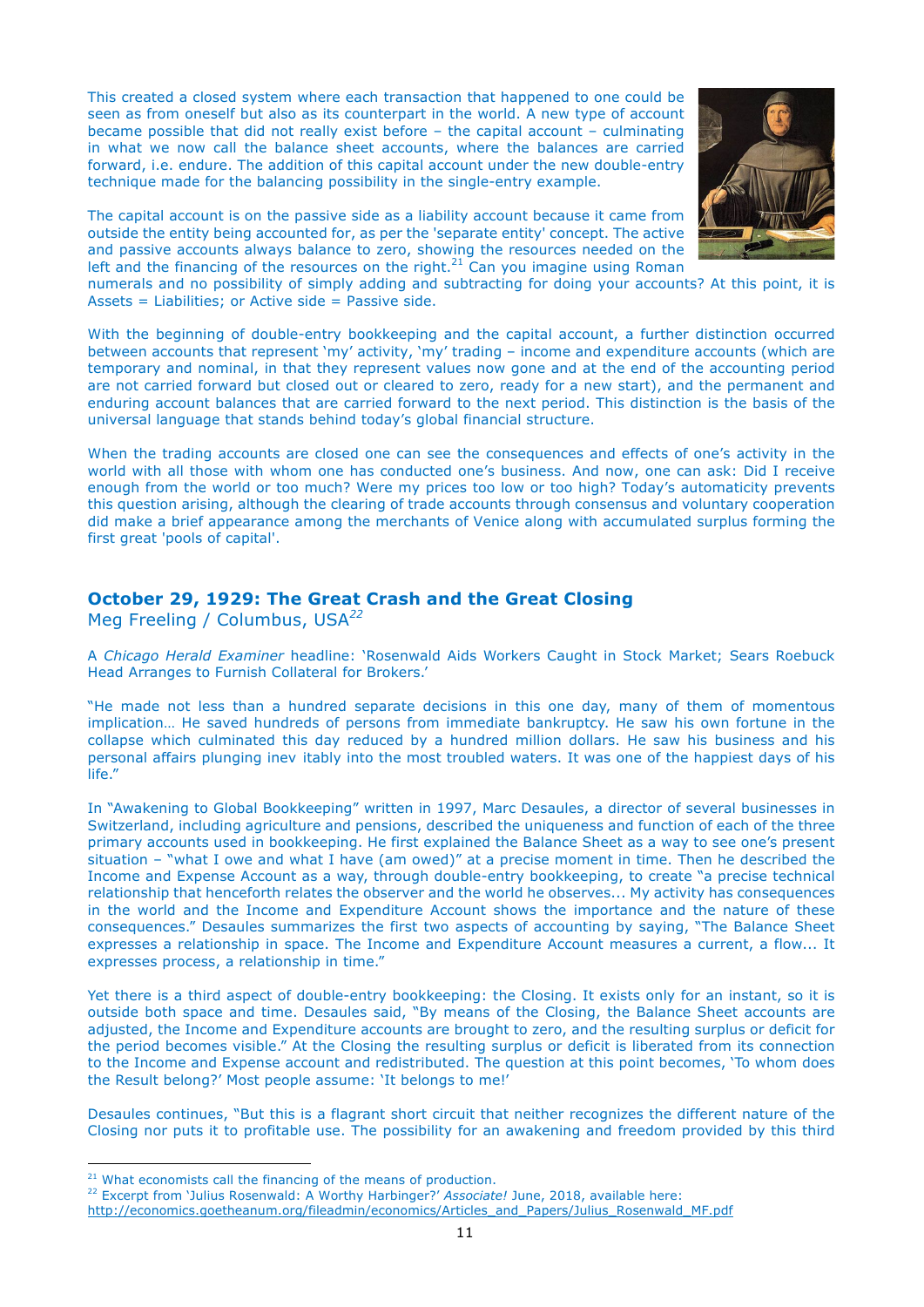This created a closed system where each transaction that happened to one could be seen as from oneself but also as its counterpart in the world. A new type of account became possible that did not really exist before – the capital account – culminating in what we now call the balance sheet accounts, where the balances are carried forward, i.e. endure. The addition of this capital account under the new double-entry technique made for the balancing possibility in the single-entry example.



The capital account is on the passive side as a liability account because it came from outside the entity being accounted for, as per the 'separate entity' concept. The active and passive accounts always balance to zero, showing the resources needed on the left and the financing of the resources on the right.<sup>21</sup> Can you imagine using Roman

numerals and no possibility of simply adding and subtracting for doing your accounts? At this point, it is Assets = Liabilities; or Active side = Passive side.

With the beginning of double-entry bookkeeping and the capital account, a further distinction occurred between accounts that represent 'my' activity, 'my' trading – income and expenditure accounts (which are temporary and nominal, in that they represent values now gone and at the end of the accounting period are not carried forward but closed out or cleared to zero, ready for a new start), and the permanent and enduring account balances that are carried forward to the next period. This distinction is the basis of the universal language that stands behind today's global financial structure.

When the trading accounts are closed one can see the consequences and effects of one's activity in the world with all those with whom one has conducted one's business. And now, one can ask: Did I receive enough from the world or too much? Were my prices too low or too high? Today's automaticity prevents this question arising, although the clearing of trade accounts through consensus and voluntary cooperation did make a brief appearance among the merchants of Venice along with accumulated surplus forming the first great 'pools of capital'.

## **October 29, 1929: The Great Crash and the Great Closing**

Meg Freeling / Columbus, USA*<sup>22</sup>*

A *Chicago Herald Examiner* headline: 'Rosenwald Aids Workers Caught in Stock Market; Sears Roebuck Head Arranges to Furnish Collateral for Brokers.'

"He made not less than a hundred separate decisions in this one day, many of them of momentous implication… He saved hundreds of persons from immediate bankruptcy. He saw his own fortune in the collapse which culminated this day reduced by a hundred million dollars. He saw his business and his personal affairs plunging inev itably into the most troubled waters. It was one of the happiest days of his life."

In "Awakening to Global Bookkeeping" written in 1997, Marc Desaules, a director of several businesses in Switzerland, including agriculture and pensions, described the uniqueness and function of each of the three primary accounts used in bookkeeping. He first explained the Balance Sheet as a way to see one's present situation – "what I owe and what I have (am owed)" at a precise moment in time. Then he described the Income and Expense Account as a way, through double-entry bookkeeping, to create "a precise technical relationship that henceforth relates the observer and the world he observes... My activity has consequences in the world and the Income and Expenditure Account shows the importance and the nature of these consequences." Desaules summarizes the first two aspects of accounting by saying, "The Balance Sheet expresses a relationship in space. The Income and Expenditure Account measures a current, a flow... It expresses process, a relationship in time."

Yet there is a third aspect of double-entry bookkeeping: the Closing. It exists only for an instant, so it is outside both space and time. Desaules said, "By means of the Closing, the Balance Sheet accounts are adjusted, the Income and Expenditure accounts are brought to zero, and the resulting surplus or deficit for the period becomes visible." At the Closing the resulting surplus or deficit is liberated from its connection to the Income and Expense account and redistributed. The question at this point becomes, 'To whom does the Result belong?' Most people assume: 'It belongs to me!'

Desaules continues, "But this is a flagrant short circuit that neither recognizes the different nature of the Closing nor puts it to profitable use. The possibility for an awakening and freedom provided by this third

 $21$  What economists call the financing of the means of production.

<sup>22</sup> Excerpt from 'Julius Rosenwald: A Worthy Harbinger?' *Associate!* June, 2018, available here:

http://economics.goetheanum.org/fileadmin/economics/Articles\_and\_Papers/Julius\_Rosenwald\_MF.pdf